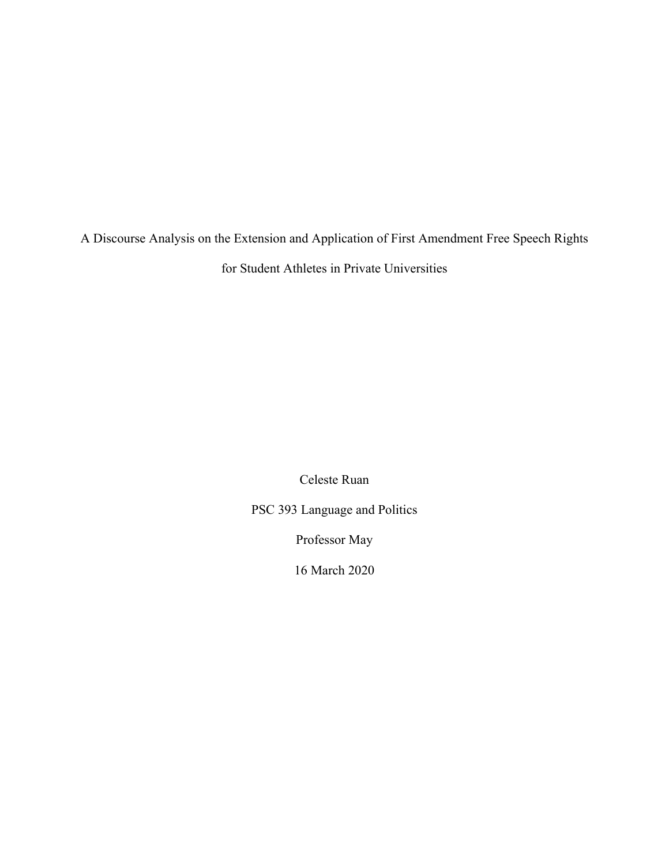A Discourse Analysis on the Extension and Application of First Amendment Free Speech Rights for Student Athletes in Private Universities

Celeste Ruan

PSC 393 Language and Politics

Professor May

16 March 2020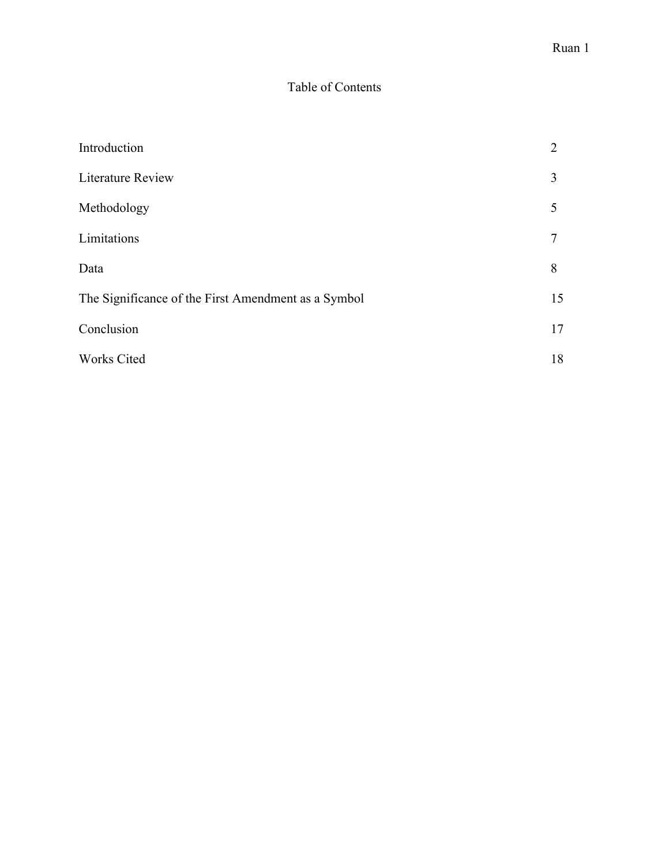# Table of Contents

| Introduction                                        | 2  |
|-----------------------------------------------------|----|
| <b>Literature Review</b>                            | 3  |
| Methodology                                         | 5  |
| Limitations                                         | 7  |
| Data                                                | 8  |
| The Significance of the First Amendment as a Symbol | 15 |
| Conclusion                                          | 17 |
| Works Cited                                         | 18 |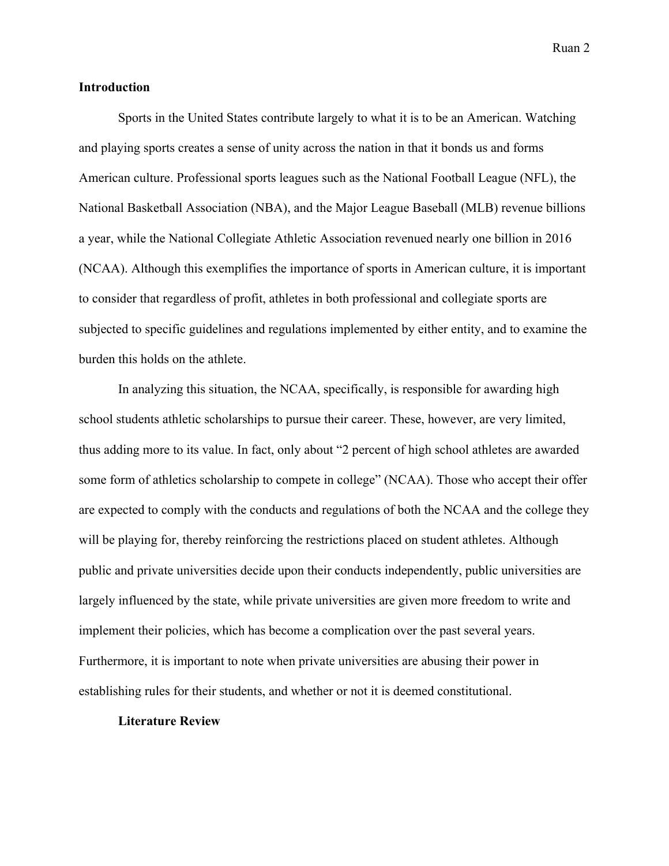### **Introduction**

Sports in the United States contribute largely to what it is to be an American. Watching and playing sports creates a sense of unity across the nation in that it bonds us and forms American culture. Professional sports leagues such as the National Football League (NFL), the National Basketball Association (NBA), and the Major League Baseball (MLB) revenue billions a year, while the National Collegiate Athletic Association revenued nearly one billion in 2016 (NCAA). Although this exemplifies the importance of sports in American culture, it is important to consider that regardless of profit, athletes in both professional and collegiate sports are subjected to specific guidelines and regulations implemented by either entity, and to examine the burden this holds on the athlete.

In analyzing this situation, the NCAA, specifically, is responsible for awarding high school students athletic scholarships to pursue their career. These, however, are very limited, thus adding more to its value. In fact, only about "2 percent of high school athletes are awarded some form of athletics scholarship to compete in college" (NCAA). Those who accept their offer are expected to comply with the conducts and regulations of both the NCAA and the college they will be playing for, thereby reinforcing the restrictions placed on student athletes. Although public and private universities decide upon their conducts independently, public universities are largely influenced by the state, while private universities are given more freedom to write and implement their policies, which has become a complication over the past several years. Furthermore, it is important to note when private universities are abusing their power in establishing rules for their students, and whether or not it is deemed constitutional.

### **Literature Review**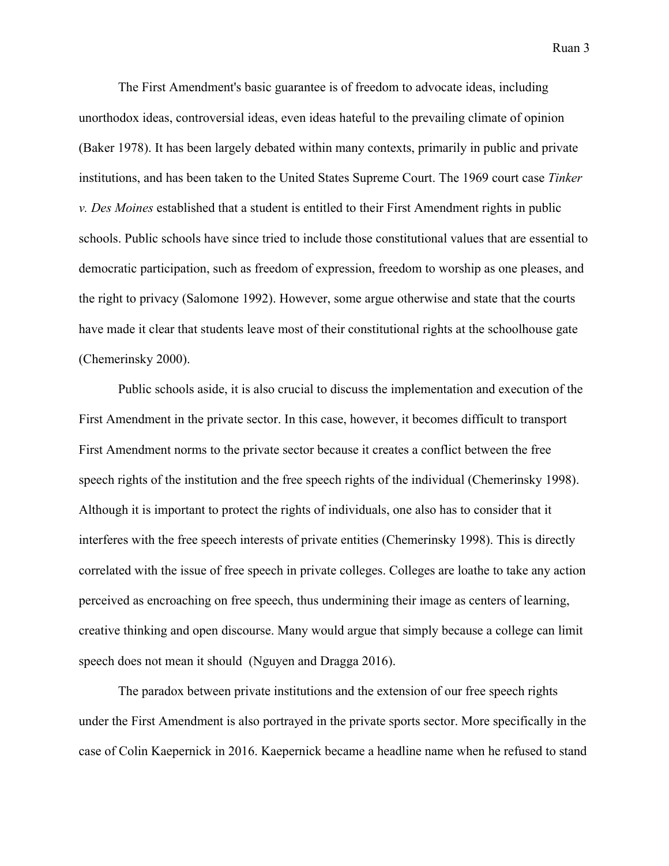The First Amendment's basic guarantee is of freedom to advocate ideas, including unorthodox ideas, controversial ideas, even ideas hateful to the prevailing climate of opinion (Baker 1978). It has been largely debated within many contexts, primarily in public and private institutions, and has been taken to the United States Supreme Court. The 1969 court case *Tinker v. Des Moines* established that a student is entitled to their First Amendment rights in public schools. Public schools have since tried to include those constitutional values that are essential to democratic participation, such as freedom of expression, freedom to worship as one pleases, and the right to privacy (Salomone 1992). However, some argue otherwise and state that the courts have made it clear that students leave most of their constitutional rights at the schoolhouse gate (Chemerinsky 2000).

Public schools aside, it is also crucial to discuss the implementation and execution of the First Amendment in the private sector. In this case, however, it becomes difficult to transport First Amendment norms to the private sector because it creates a conflict between the free speech rights of the institution and the free speech rights of the individual (Chemerinsky 1998). Although it is important to protect the rights of individuals, one also has to consider that it interferes with the free speech interests of private entities (Chemerinsky 1998). This is directly correlated with the issue of free speech in private colleges. Colleges are loathe to take any action perceived as encroaching on free speech, thus undermining their image as centers of learning, creative thinking and open discourse. Many would argue that simply because a college can limit speech does not mean it should (Nguyen and Dragga 2016).

The paradox between private institutions and the extension of our free speech rights under the First Amendment is also portrayed in the private sports sector. More specifically in the case of Colin Kaepernick in 2016. Kaepernick became a headline name when he refused to stand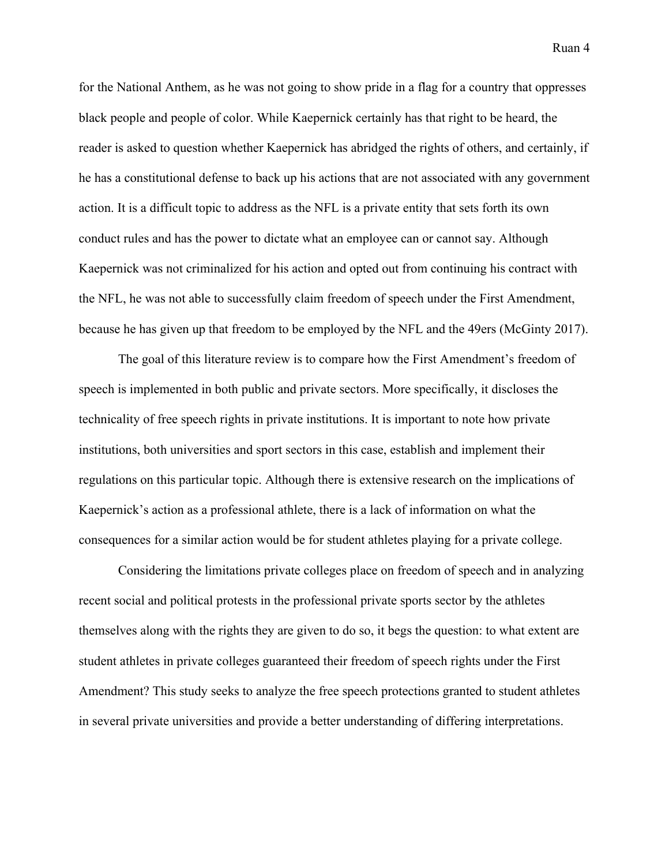for the National Anthem, as he was not going to show pride in a flag for a country that oppresses black people and people of color. While Kaepernick certainly has that right to be heard, the reader is asked to question whether Kaepernick has abridged the rights of others, and certainly, if he has a constitutional defense to back up his actions that are not associated with any government action. It is a difficult topic to address as the NFL is a private entity that sets forth its own conduct rules and has the power to dictate what an employee can or cannot say. Although Kaepernick was not criminalized for his action and opted out from continuing his contract with the NFL, he was not able to successfully claim freedom of speech under the First Amendment, because he has given up that freedom to be employed by the NFL and the 49ers (McGinty 2017).

The goal of this literature review is to compare how the First Amendment's freedom of speech is implemented in both public and private sectors. More specifically, it discloses the technicality of free speech rights in private institutions. It is important to note how private institutions, both universities and sport sectors in this case, establish and implement their regulations on this particular topic. Although there is extensive research on the implications of Kaepernick's action as a professional athlete, there is a lack of information on what the consequences for a similar action would be for student athletes playing for a private college.

Considering the limitations private colleges place on freedom of speech and in analyzing recent social and political protests in the professional private sports sector by the athletes themselves along with the rights they are given to do so, it begs the question: to what extent are student athletes in private colleges guaranteed their freedom of speech rights under the First Amendment? This study seeks to analyze the free speech protections granted to student athletes in several private universities and provide a better understanding of differing interpretations.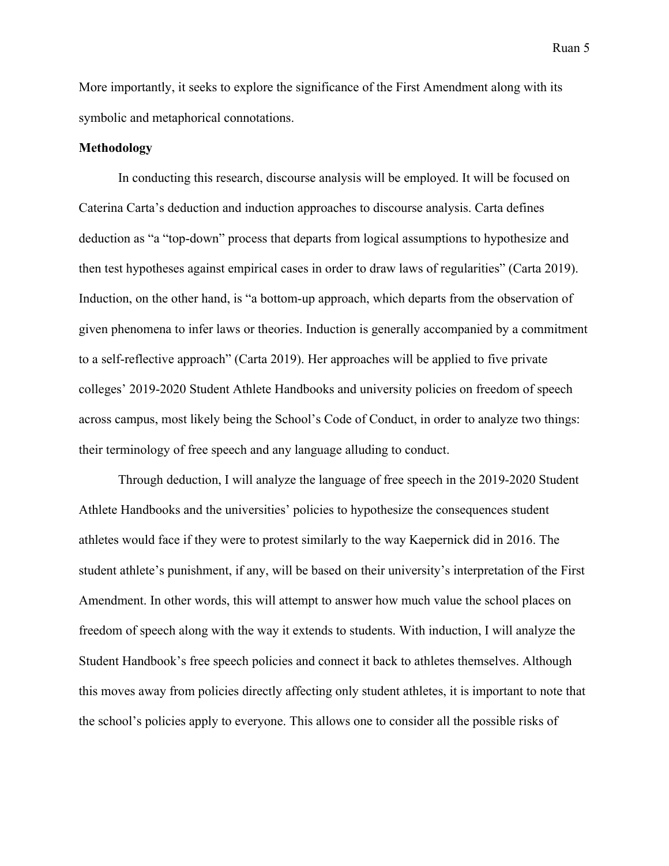More importantly, it seeks to explore the significance of the First Amendment along with its symbolic and metaphorical connotations.

#### **Methodology**

In conducting this research, discourse analysis will be employed. It will be focused on Caterina Carta's deduction and induction approaches to discourse analysis. Carta defines deduction as "a "top-down" process that departs from logical assumptions to hypothesize and then test hypotheses against empirical cases in order to draw laws of regularities" (Carta 2019). Induction, on the other hand, is "a bottom-up approach, which departs from the observation of given phenomena to infer laws or theories. Induction is generally accompanied by a commitment to a self-reflective approach" (Carta 2019). Her approaches will be applied to five private colleges' 2019-2020 Student Athlete Handbooks and university policies on freedom of speech across campus, most likely being the School's Code of Conduct, in order to analyze two things: their terminology of free speech and any language alluding to conduct.

Through deduction, I will analyze the language of free speech in the 2019-2020 Student Athlete Handbooks and the universities' policies to hypothesize the consequences student athletes would face if they were to protest similarly to the way Kaepernick did in 2016. The student athlete's punishment, if any, will be based on their university's interpretation of the First Amendment. In other words, this will attempt to answer how much value the school places on freedom of speech along with the way it extends to students. With induction, I will analyze the Student Handbook's free speech policies and connect it back to athletes themselves. Although this moves away from policies directly affecting only student athletes, it is important to note that the school's policies apply to everyone. This allows one to consider all the possible risks of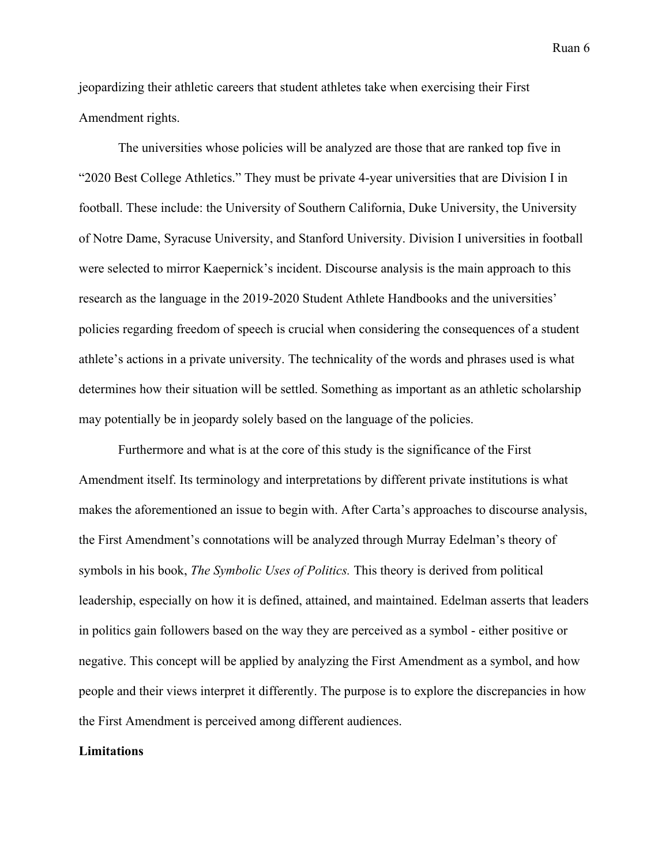jeopardizing their athletic careers that student athletes take when exercising their First Amendment rights.

The universities whose policies will be analyzed are those that are ranked top five in "2020 Best College Athletics." They must be private 4-year universities that are Division I in football. These include: the University of Southern California, Duke University, the University of Notre Dame, Syracuse University, and Stanford University. Division I universities in football were selected to mirror Kaepernick's incident. Discourse analysis is the main approach to this research as the language in the 2019-2020 Student Athlete Handbooks and the universities' policies regarding freedom of speech is crucial when considering the consequences of a student athlete's actions in a private university. The technicality of the words and phrases used is what determines how their situation will be settled. Something as important as an athletic scholarship may potentially be in jeopardy solely based on the language of the policies.

Furthermore and what is at the core of this study is the significance of the First Amendment itself. Its terminology and interpretations by different private institutions is what makes the aforementioned an issue to begin with. After Carta's approaches to discourse analysis, the First Amendment's connotations will be analyzed through Murray Edelman's theory of symbols in his book, *The Symbolic Uses of Politics.* This theory is derived from political leadership, especially on how it is defined, attained, and maintained. Edelman asserts that leaders in politics gain followers based on the way they are perceived as a symbol - either positive or negative. This concept will be applied by analyzing the First Amendment as a symbol, and how people and their views interpret it differently. The purpose is to explore the discrepancies in how the First Amendment is perceived among different audiences.

### **Limitations**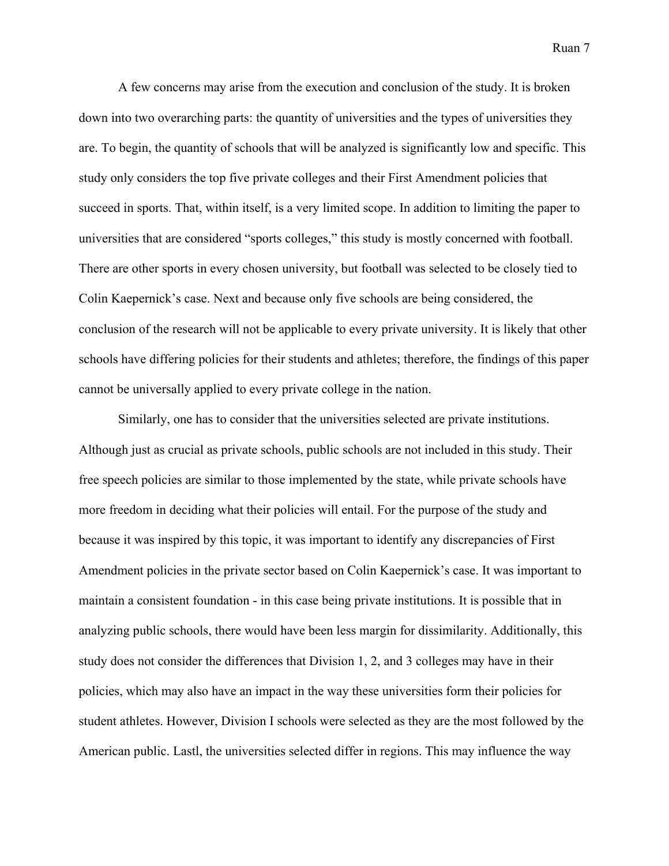A few concerns may arise from the execution and conclusion of the study. It is broken down into two overarching parts: the quantity of universities and the types of universities they are. To begin, the quantity of schools that will be analyzed is significantly low and specific. This study only considers the top five private colleges and their First Amendment policies that succeed in sports. That, within itself, is a very limited scope. In addition to limiting the paper to universities that are considered "sports colleges," this study is mostly concerned with football. There are other sports in every chosen university, but football was selected to be closely tied to Colin Kaepernick's case. Next and because only five schools are being considered, the conclusion of the research will not be applicable to every private university. It is likely that other schools have differing policies for their students and athletes; therefore, the findings of this paper cannot be universally applied to every private college in the nation.

Similarly, one has to consider that the universities selected are private institutions. Although just as crucial as private schools, public schools are not included in this study. Their free speech policies are similar to those implemented by the state, while private schools have more freedom in deciding what their policies will entail. For the purpose of the study and because it was inspired by this topic, it was important to identify any discrepancies of First Amendment policies in the private sector based on Colin Kaepernick's case. It was important to maintain a consistent foundation - in this case being private institutions. It is possible that in analyzing public schools, there would have been less margin for dissimilarity. Additionally, this study does not consider the differences that Division 1, 2, and 3 colleges may have in their policies, which may also have an impact in the way these universities form their policies for student athletes. However, Division I schools were selected as they are the most followed by the American public. Lastl, the universities selected differ in regions. This may influence the way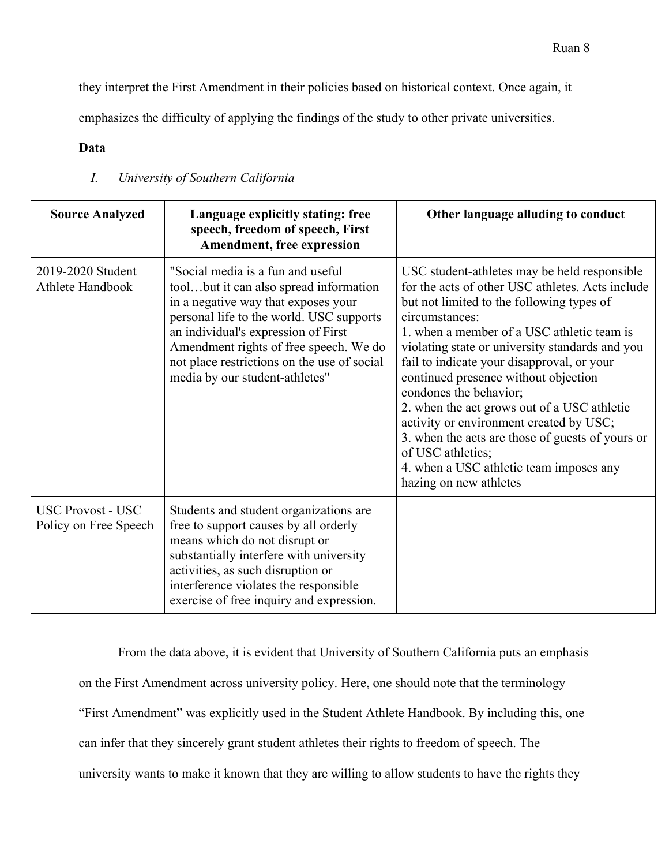they interpret the First Amendment in their policies based on historical context. Once again, it

emphasizes the difficulty of applying the findings of the study to other private universities.

# **Data**

| <b>Source Analyzed</b>                            | Language explicitly stating: free<br>speech, freedom of speech, First<br>Amendment, free expression                                                                                                                                                                                                                              | Other language alluding to conduct                                                                                                                                                                                                                                                                                                                                                                                                                                                                                                                                                                                       |
|---------------------------------------------------|----------------------------------------------------------------------------------------------------------------------------------------------------------------------------------------------------------------------------------------------------------------------------------------------------------------------------------|--------------------------------------------------------------------------------------------------------------------------------------------------------------------------------------------------------------------------------------------------------------------------------------------------------------------------------------------------------------------------------------------------------------------------------------------------------------------------------------------------------------------------------------------------------------------------------------------------------------------------|
| 2019-2020 Student<br>Athlete Handbook             | "Social media is a fun and useful<br>toolbut it can also spread information<br>in a negative way that exposes your<br>personal life to the world. USC supports<br>an individual's expression of First<br>Amendment rights of free speech. We do<br>not place restrictions on the use of social<br>media by our student-athletes" | USC student-athletes may be held responsible<br>for the acts of other USC athletes. Acts include<br>but not limited to the following types of<br>circumstances:<br>1. when a member of a USC athletic team is<br>violating state or university standards and you<br>fail to indicate your disapproval, or your<br>continued presence without objection<br>condones the behavior;<br>2. when the act grows out of a USC athletic<br>activity or environment created by USC;<br>3. when the acts are those of guests of yours or<br>of USC athletics;<br>4. when a USC athletic team imposes any<br>hazing on new athletes |
| <b>USC Provost - USC</b><br>Policy on Free Speech | Students and student organizations are<br>free to support causes by all orderly<br>means which do not disrupt or<br>substantially interfere with university<br>activities, as such disruption or<br>interference violates the responsible<br>exercise of free inquiry and expression.                                            |                                                                                                                                                                                                                                                                                                                                                                                                                                                                                                                                                                                                                          |

# *I. University of Southern California*

From the data above, it is evident that University of Southern California puts an emphasis on the First Amendment across university policy. Here, one should note that the terminology "First Amendment" was explicitly used in the Student Athlete Handbook. By including this, one can infer that they sincerely grant student athletes their rights to freedom of speech. The university wants to make it known that they are willing to allow students to have the rights they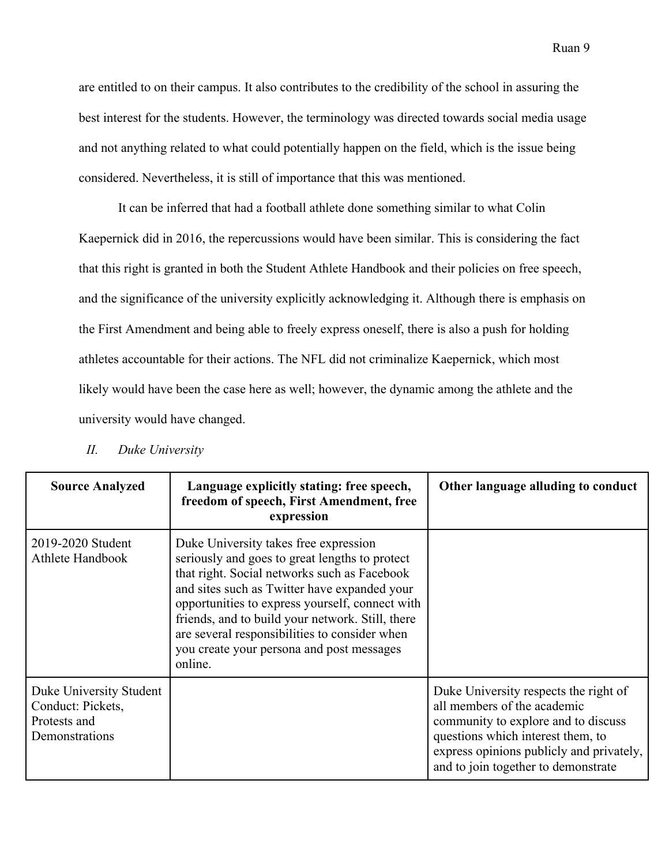are entitled to on their campus. It also contributes to the credibility of the school in assuring the best interest for the students. However, the terminology was directed towards social media usage and not anything related to what could potentially happen on the field, which is the issue being considered. Nevertheless, it is still of importance that this was mentioned.

It can be inferred that had a football athlete done something similar to what Colin Kaepernick did in 2016, the repercussions would have been similar. This is considering the fact that this right is granted in both the Student Athlete Handbook and their policies on free speech, and the significance of the university explicitly acknowledging it. Although there is emphasis on the First Amendment and being able to freely express oneself, there is also a push for holding athletes accountable for their actions. The NFL did not criminalize Kaepernick, which most likely would have been the case here as well; however, the dynamic among the athlete and the university would have changed.

| <b>Source Analyzed</b>                                                         | Language explicitly stating: free speech,<br>freedom of speech, First Amendment, free<br>expression                                                                                                                                                                                                                                                                                                     | Other language alluding to conduct                                                                                                                                                                                                  |
|--------------------------------------------------------------------------------|---------------------------------------------------------------------------------------------------------------------------------------------------------------------------------------------------------------------------------------------------------------------------------------------------------------------------------------------------------------------------------------------------------|-------------------------------------------------------------------------------------------------------------------------------------------------------------------------------------------------------------------------------------|
| 2019-2020 Student<br>Athlete Handbook                                          | Duke University takes free expression<br>seriously and goes to great lengths to protect<br>that right. Social networks such as Facebook<br>and sites such as Twitter have expanded your<br>opportunities to express yourself, connect with<br>friends, and to build your network. Still, there<br>are several responsibilities to consider when<br>you create your persona and post messages<br>online. |                                                                                                                                                                                                                                     |
| Duke University Student<br>Conduct: Pickets,<br>Protests and<br>Demonstrations |                                                                                                                                                                                                                                                                                                                                                                                                         | Duke University respects the right of<br>all members of the academic<br>community to explore and to discuss<br>questions which interest them, to<br>express opinions publicly and privately,<br>and to join together to demonstrate |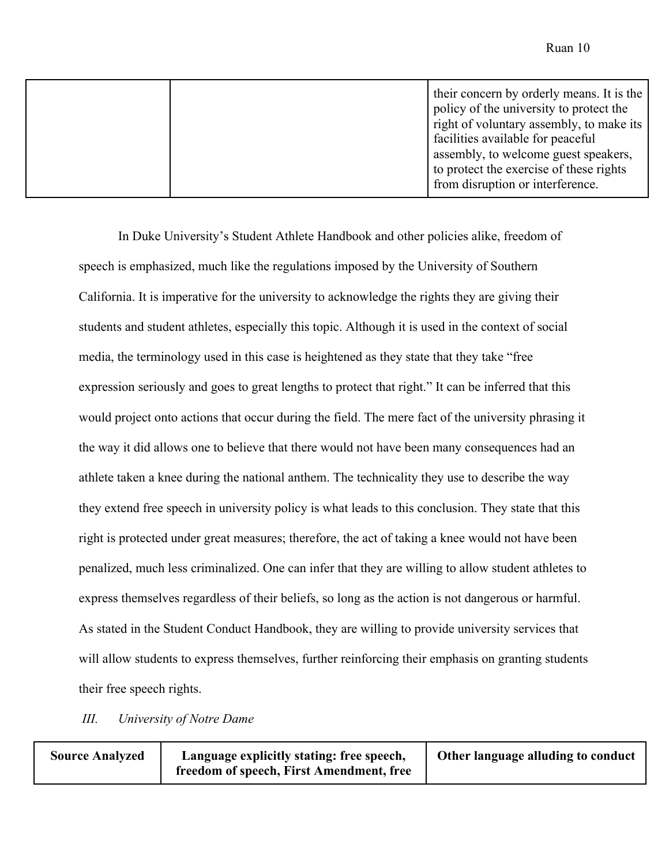|  | their concern by orderly means. It is the<br>policy of the university to protect the<br>right of voluntary assembly, to make its<br>facilities available for peaceful<br>assembly, to welcome guest speakers,<br>to protect the exercise of these rights |
|--|----------------------------------------------------------------------------------------------------------------------------------------------------------------------------------------------------------------------------------------------------------|
|  | from disruption or interference.                                                                                                                                                                                                                         |

In Duke University's Student Athlete Handbook and other policies alike, freedom of speech is emphasized, much like the regulations imposed by the University of Southern California. It is imperative for the university to acknowledge the rights they are giving their students and student athletes, especially this topic. Although it is used in the context of social media, the terminology used in this case is heightened as they state that they take "free expression seriously and goes to great lengths to protect that right." It can be inferred that this would project onto actions that occur during the field. The mere fact of the university phrasing it the way it did allows one to believe that there would not have been many consequences had an athlete taken a knee during the national anthem. The technicality they use to describe the way they extend free speech in university policy is what leads to this conclusion. They state that this right is protected under great measures; therefore, the act of taking a knee would not have been penalized, much less criminalized. One can infer that they are willing to allow student athletes to express themselves regardless of their beliefs, so long as the action is not dangerous or harmful. As stated in the Student Conduct Handbook, they are willing to provide university services that will allow students to express themselves, further reinforcing their emphasis on granting students their free speech rights.

*III. University of Notre Dame*

| <b>Source Analyzed</b> | Language explicitly stating: free speech, | Other language alluding to conduct |
|------------------------|-------------------------------------------|------------------------------------|
|                        | freedom of speech, First Amendment, free  |                                    |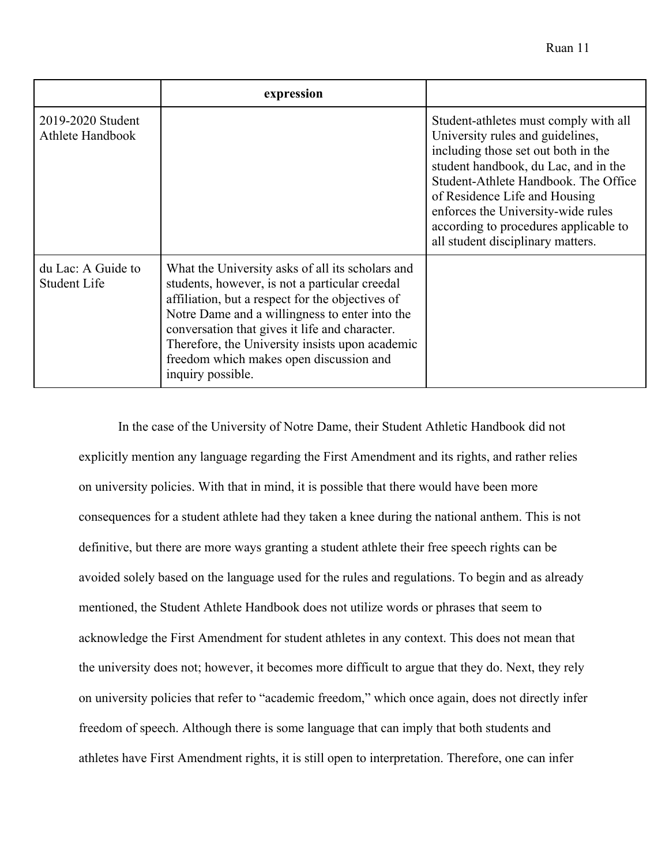| ча.<br>. I |  |
|------------|--|
|------------|--|

|                                       | expression                                                                                                                                                                                                                                                                                                                                                                    |                                                                                                                                                                                                                                                                                                                                                       |
|---------------------------------------|-------------------------------------------------------------------------------------------------------------------------------------------------------------------------------------------------------------------------------------------------------------------------------------------------------------------------------------------------------------------------------|-------------------------------------------------------------------------------------------------------------------------------------------------------------------------------------------------------------------------------------------------------------------------------------------------------------------------------------------------------|
| 2019-2020 Student<br>Athlete Handbook |                                                                                                                                                                                                                                                                                                                                                                               | Student-athletes must comply with all<br>University rules and guidelines,<br>including those set out both in the<br>student handbook, du Lac, and in the<br>Student-Athlete Handbook. The Office<br>of Residence Life and Housing<br>enforces the University-wide rules<br>according to procedures applicable to<br>all student disciplinary matters. |
| du Lac: A Guide to<br>Student Life    | What the University asks of all its scholars and<br>students, however, is not a particular creedal<br>affiliation, but a respect for the objectives of<br>Notre Dame and a willingness to enter into the<br>conversation that gives it life and character.<br>Therefore, the University insists upon academic<br>freedom which makes open discussion and<br>inquiry possible. |                                                                                                                                                                                                                                                                                                                                                       |

In the case of the University of Notre Dame, their Student Athletic Handbook did not explicitly mention any language regarding the First Amendment and its rights, and rather relies on university policies. With that in mind, it is possible that there would have been more consequences for a student athlete had they taken a knee during the national anthem. This is not definitive, but there are more ways granting a student athlete their free speech rights can be avoided solely based on the language used for the rules and regulations. To begin and as already mentioned, the Student Athlete Handbook does not utilize words or phrases that seem to acknowledge the First Amendment for student athletes in any context. This does not mean that the university does not; however, it becomes more difficult to argue that they do. Next, they rely on university policies that refer to "academic freedom," which once again, does not directly infer freedom of speech. Although there is some language that can imply that both students and athletes have First Amendment rights, it is still open to interpretation. Therefore, one can infer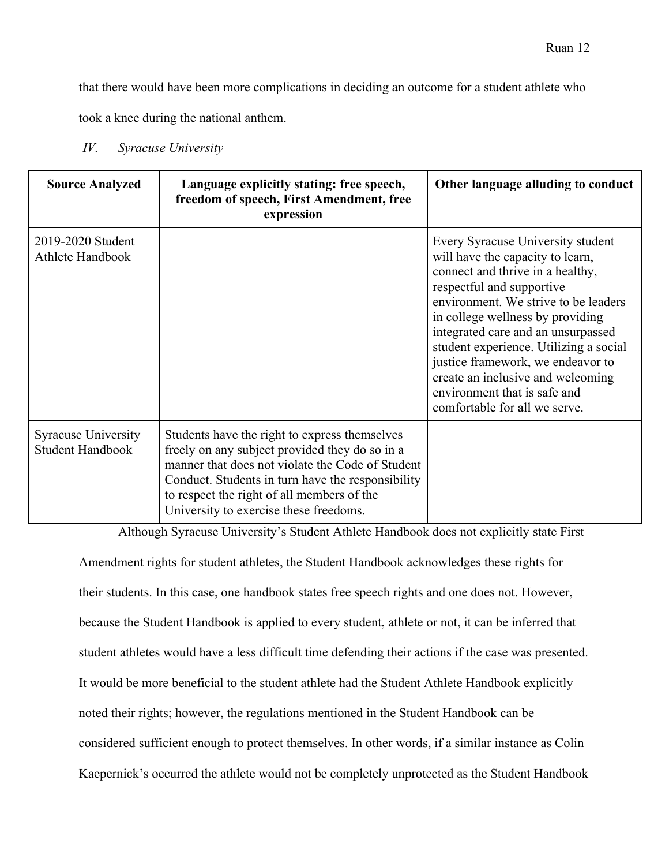that there would have been more complications in deciding an outcome for a student athlete who

took a knee during the national anthem.

*IV. Syracuse University*

| <b>Source Analyzed</b>                                | Language explicitly stating: free speech,<br>freedom of speech, First Amendment, free<br>expression                                                                                                                                                                                              | Other language alluding to conduct                                                                                                                                                                                                                                                                                                                                                                                                            |
|-------------------------------------------------------|--------------------------------------------------------------------------------------------------------------------------------------------------------------------------------------------------------------------------------------------------------------------------------------------------|-----------------------------------------------------------------------------------------------------------------------------------------------------------------------------------------------------------------------------------------------------------------------------------------------------------------------------------------------------------------------------------------------------------------------------------------------|
| 2019-2020 Student<br>Athlete Handbook                 |                                                                                                                                                                                                                                                                                                  | Every Syracuse University student<br>will have the capacity to learn,<br>connect and thrive in a healthy,<br>respectful and supportive<br>environment. We strive to be leaders<br>in college wellness by providing<br>integrated care and an unsurpassed<br>student experience. Utilizing a social<br>justice framework, we endeavor to<br>create an inclusive and welcoming<br>environment that is safe and<br>comfortable for all we serve. |
| <b>Syracuse University</b><br><b>Student Handbook</b> | Students have the right to express themselves<br>freely on any subject provided they do so in a<br>manner that does not violate the Code of Student<br>Conduct. Students in turn have the responsibility<br>to respect the right of all members of the<br>University to exercise these freedoms. |                                                                                                                                                                                                                                                                                                                                                                                                                                               |

Although Syracuse University's Student Athlete Handbook does not explicitly state First

Amendment rights for student athletes, the Student Handbook acknowledges these rights for their students. In this case, one handbook states free speech rights and one does not. However, because the Student Handbook is applied to every student, athlete or not, it can be inferred that student athletes would have a less difficult time defending their actions if the case was presented. It would be more beneficial to the student athlete had the Student Athlete Handbook explicitly noted their rights; however, the regulations mentioned in the Student Handbook can be considered sufficient enough to protect themselves. In other words, if a similar instance as Colin Kaepernick's occurred the athlete would not be completely unprotected as the Student Handbook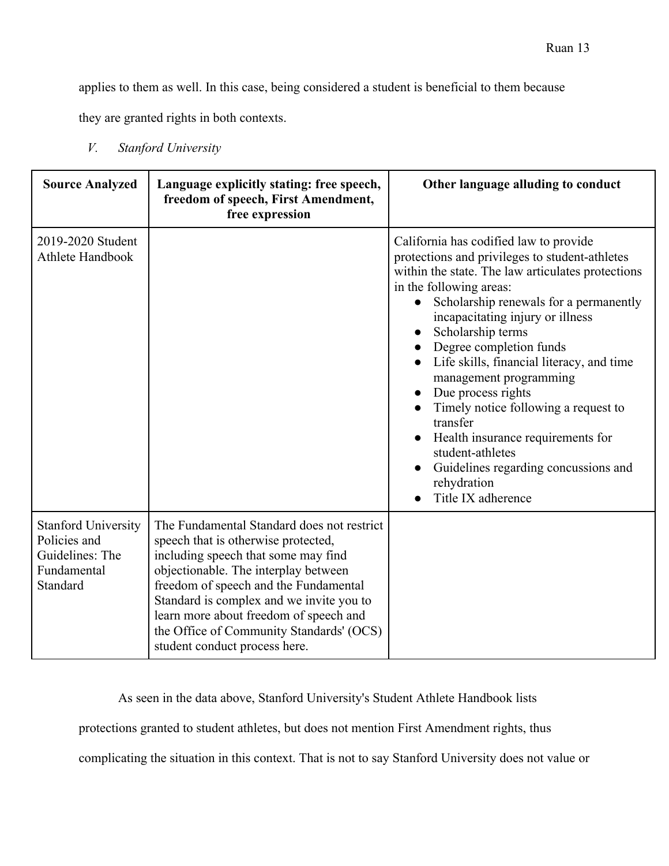applies to them as well. In this case, being considered a student is beneficial to them because

they are granted rights in both contexts.

*V. Stanford University*

| <b>Source Analyzed</b>                                                                   | Language explicitly stating: free speech,<br>freedom of speech, First Amendment,<br>free expression                                                                                                                                                                                                                                                                          | Other language alluding to conduct                                                                                                                                                                                                                                                                                                                                                                                                                                                                                                                                                                         |
|------------------------------------------------------------------------------------------|------------------------------------------------------------------------------------------------------------------------------------------------------------------------------------------------------------------------------------------------------------------------------------------------------------------------------------------------------------------------------|------------------------------------------------------------------------------------------------------------------------------------------------------------------------------------------------------------------------------------------------------------------------------------------------------------------------------------------------------------------------------------------------------------------------------------------------------------------------------------------------------------------------------------------------------------------------------------------------------------|
| 2019-2020 Student<br>Athlete Handbook                                                    |                                                                                                                                                                                                                                                                                                                                                                              | California has codified law to provide<br>protections and privileges to student-athletes<br>within the state. The law articulates protections<br>in the following areas:<br>Scholarship renewals for a permanently<br>$\bullet$<br>incapacitating injury or illness<br>Scholarship terms<br>Degree completion funds<br>Life skills, financial literacy, and time<br>management programming<br>Due process rights<br>Timely notice following a request to<br>transfer<br>Health insurance requirements for<br>student-athletes<br>Guidelines regarding concussions and<br>rehydration<br>Title IX adherence |
| <b>Stanford University</b><br>Policies and<br>Guidelines: The<br>Fundamental<br>Standard | The Fundamental Standard does not restrict<br>speech that is otherwise protected,<br>including speech that some may find<br>objectionable. The interplay between<br>freedom of speech and the Fundamental<br>Standard is complex and we invite you to<br>learn more about freedom of speech and<br>the Office of Community Standards' (OCS)<br>student conduct process here. |                                                                                                                                                                                                                                                                                                                                                                                                                                                                                                                                                                                                            |

As seen in the data above, Stanford University's Student Athlete Handbook lists

protections granted to student athletes, but does not mention First Amendment rights, thus

complicating the situation in this context. That is not to say Stanford University does not value or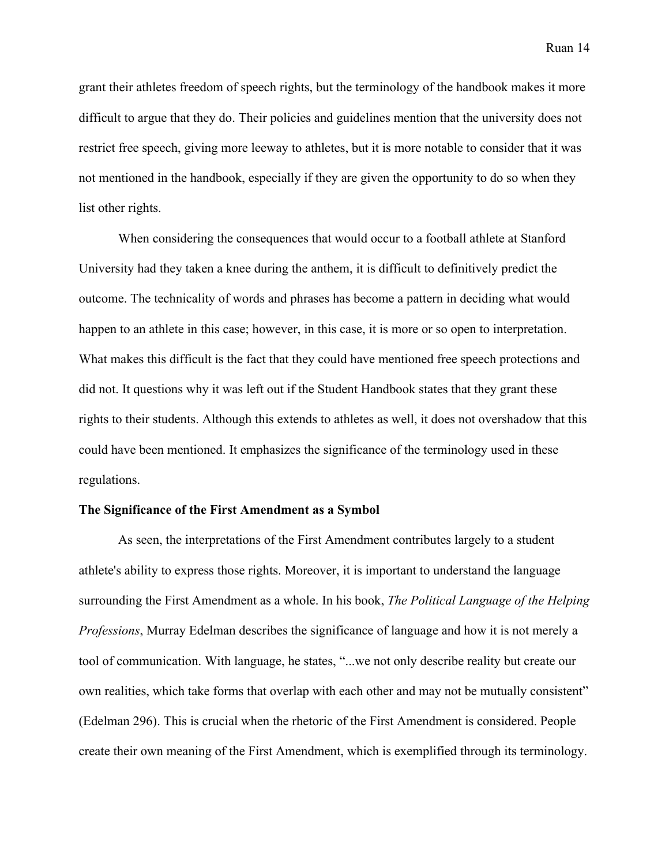grant their athletes freedom of speech rights, but the terminology of the handbook makes it more difficult to argue that they do. Their policies and guidelines mention that the university does not restrict free speech, giving more leeway to athletes, but it is more notable to consider that it was not mentioned in the handbook, especially if they are given the opportunity to do so when they list other rights.

When considering the consequences that would occur to a football athlete at Stanford University had they taken a knee during the anthem, it is difficult to definitively predict the outcome. The technicality of words and phrases has become a pattern in deciding what would happen to an athlete in this case; however, in this case, it is more or so open to interpretation. What makes this difficult is the fact that they could have mentioned free speech protections and did not. It questions why it was left out if the Student Handbook states that they grant these rights to their students. Although this extends to athletes as well, it does not overshadow that this could have been mentioned. It emphasizes the significance of the terminology used in these regulations.

### **The Significance of the First Amendment as a Symbol**

As seen, the interpretations of the First Amendment contributes largely to a student athlete's ability to express those rights. Moreover, it is important to understand the language surrounding the First Amendment as a whole. In his book, *The Political Language of the Helping Professions*, Murray Edelman describes the significance of language and how it is not merely a tool of communication. With language, he states, "...we not only describe reality but create our own realities, which take forms that overlap with each other and may not be mutually consistent" (Edelman 296). This is crucial when the rhetoric of the First Amendment is considered. People create their own meaning of the First Amendment, which is exemplified through its terminology.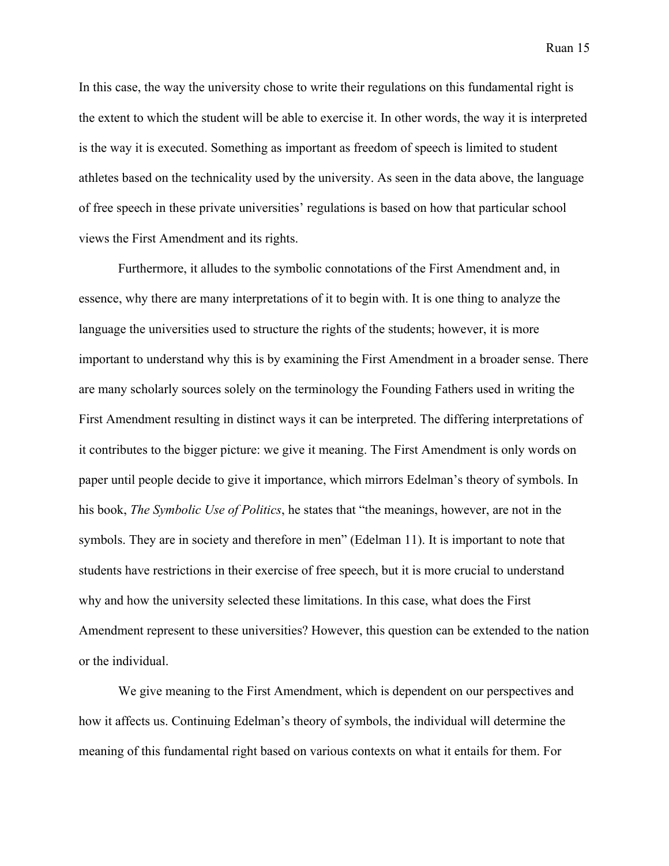In this case, the way the university chose to write their regulations on this fundamental right is the extent to which the student will be able to exercise it. In other words, the way it is interpreted is the way it is executed. Something as important as freedom of speech is limited to student athletes based on the technicality used by the university. As seen in the data above, the language

of free speech in these private universities' regulations is based on how that particular school views the First Amendment and its rights.

Furthermore, it alludes to the symbolic connotations of the First Amendment and, in essence, why there are many interpretations of it to begin with. It is one thing to analyze the language the universities used to structure the rights of the students; however, it is more important to understand why this is by examining the First Amendment in a broader sense. There are many scholarly sources solely on the terminology the Founding Fathers used in writing the First Amendment resulting in distinct ways it can be interpreted. The differing interpretations of it contributes to the bigger picture: we give it meaning. The First Amendment is only words on paper until people decide to give it importance, which mirrors Edelman's theory of symbols. In his book, *The Symbolic Use of Politics*, he states that "the meanings, however, are not in the symbols. They are in society and therefore in men" (Edelman 11). It is important to note that students have restrictions in their exercise of free speech, but it is more crucial to understand why and how the university selected these limitations. In this case, what does the First Amendment represent to these universities? However, this question can be extended to the nation or the individual.

We give meaning to the First Amendment, which is dependent on our perspectives and how it affects us. Continuing Edelman's theory of symbols, the individual will determine the meaning of this fundamental right based on various contexts on what it entails for them. For

Ruan 15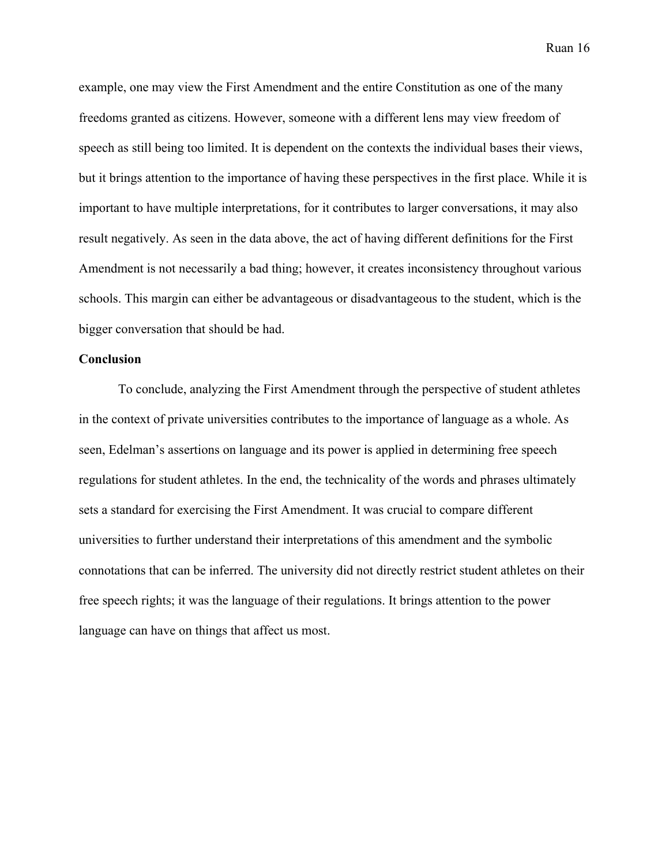example, one may view the First Amendment and the entire Constitution as one of the many freedoms granted as citizens. However, someone with a different lens may view freedom of speech as still being too limited. It is dependent on the contexts the individual bases their views, but it brings attention to the importance of having these perspectives in the first place. While it is important to have multiple interpretations, for it contributes to larger conversations, it may also result negatively. As seen in the data above, the act of having different definitions for the First Amendment is not necessarily a bad thing; however, it creates inconsistency throughout various schools. This margin can either be advantageous or disadvantageous to the student, which is the bigger conversation that should be had.

### **Conclusion**

To conclude, analyzing the First Amendment through the perspective of student athletes in the context of private universities contributes to the importance of language as a whole. As seen, Edelman's assertions on language and its power is applied in determining free speech regulations for student athletes. In the end, the technicality of the words and phrases ultimately sets a standard for exercising the First Amendment. It was crucial to compare different universities to further understand their interpretations of this amendment and the symbolic connotations that can be inferred. The university did not directly restrict student athletes on their free speech rights; it was the language of their regulations. It brings attention to the power language can have on things that affect us most.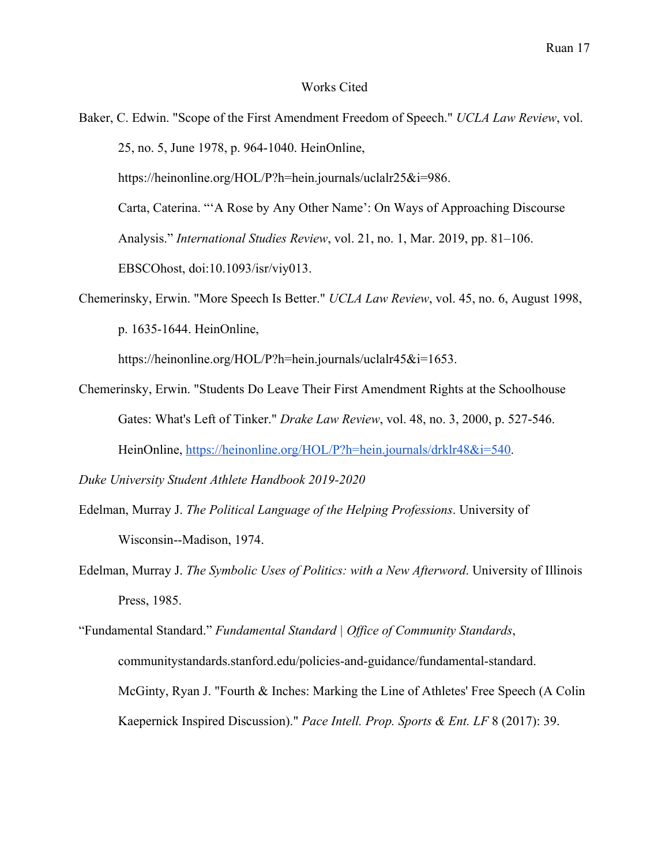#### Works Cited

- Baker, C. Edwin. "Scope of the First Amendment Freedom of Speech." *UCLA Law Review*, vol. 25, no. 5, June 1978, p. 964-1040. HeinOnline, https://heinonline.org/HOL/P?h=hein.journals/uclalr25&i=986. Carta, Caterina. "'A Rose by Any Other Name': On Ways of Approaching Discourse Analysis." *International Studies Review*, vol. 21, no. 1, Mar. 2019, pp. 81–106. EBSCOhost, doi:10.1093/isr/viy013.
- Chemerinsky, Erwin. "More Speech Is Better." *UCLA Law Review*, vol. 45, no. 6, August 1998, p. 1635-1644. HeinOnline,

https://heinonline.org/HOL/P?h=hein.journals/uclalr45&i=1653.

Chemerinsky, Erwin. "Students Do Leave Their First Amendment Rights at the Schoolhouse Gates: What's Left of Tinker." *Drake Law Review*, vol. 48, no. 3, 2000, p. 527-546. HeinOnline, https://heinonline.org/HOL/P?h=hein.journals/drklr48&i=540.

*Duke University Student Athlete Handbook 2019-2020*

- Edelman, Murray J. *The Political Language of the Helping Professions*. University of Wisconsin--Madison, 1974.
- Edelman, Murray J. *The Symbolic Uses of Politics: with a New Afterword*. University of Illinois Press, 1985.

"Fundamental Standard." *Fundamental Standard | Office of Community Standards*, communitystandards.stanford.edu/policies-and-guidance/fundamental-standard. McGinty, Ryan J. "Fourth & Inches: Marking the Line of Athletes' Free Speech (A Colin Kaepernick Inspired Discussion)." *Pace Intell. Prop. Sports & Ent. LF* 8 (2017): 39.